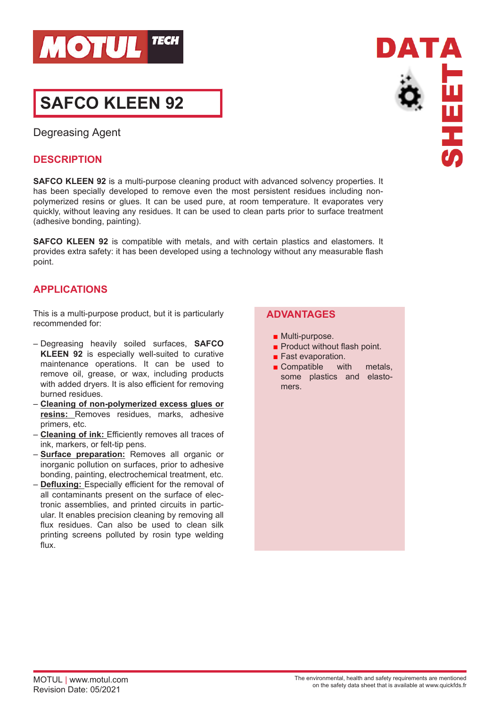

# **SAFCO KLEEN 92**

Degreasing Agent

## **DESCRIPTION**

**SAFCO KLEEN 92** is a multi-purpose cleaning product with advanced solvency properties. It has been specially developed to remove even the most persistent residues including nonpolymerized resins or glues. It can be used pure, at room temperature. It evaporates very quickly, without leaving any residues. It can be used to clean parts prior to surface treatment (adhesive bonding, painting).

**SAFCO KLEEN 92** is compatible with metals, and with certain plastics and elastomers. It provides extra safety: it has been developed using a technology without any measurable flash point.

# **APPLICATIONS**

This is a multi-purpose product, but it is particularly recommended for:

- Degreasing heavily soiled surfaces, **SAFCO KLEEN 92** is especially well-suited to curative maintenance operations. It can be used to remove oil, grease, or wax, including products with added dryers. It is also efficient for removing burned residues.
- **Cleaning of non-polymerized excess glues or resins:** Removes residues, marks, adhesive primers, etc.
- **Cleaning of ink:** Efficiently removes all traces of ink, markers, or felt-tip pens.
- **Surface preparation:** Removes all organic or inorganic pollution on surfaces, prior to adhesive bonding, painting, electrochemical treatment, etc.
- **Defluxing:** Especially efficient for the removal of all contaminants present on the surface of electronic assemblies, and printed circuits in particular. It enables precision cleaning by removing all flux residues. Can also be used to clean silk printing screens polluted by rosin type welding flux.

# **ADVANTAGES**

- Multi-purpose.
- Product without flash point.
- Fast evaporation.
- Compatible with metals, some plastics and elastomers.